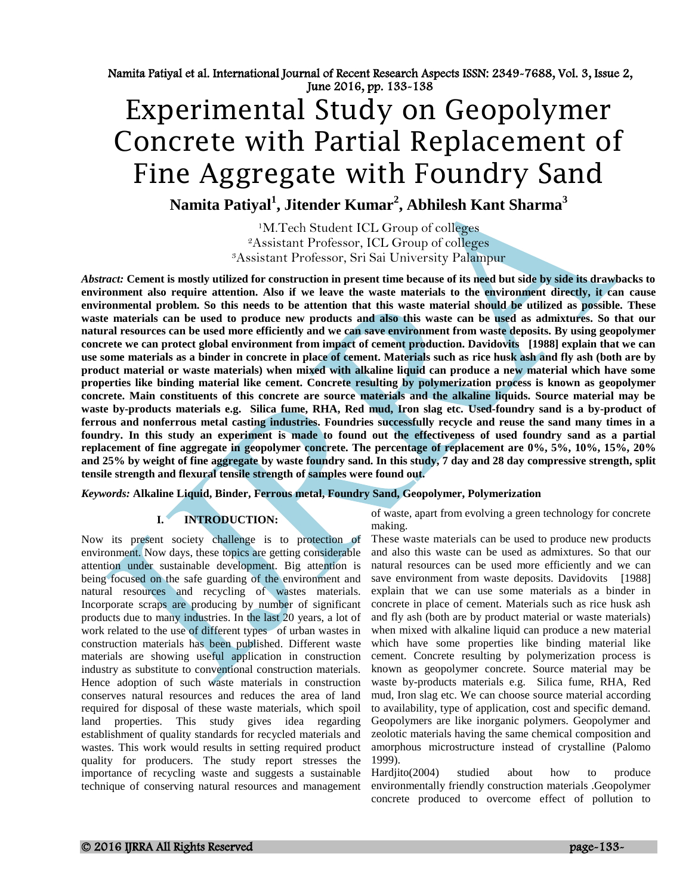# Experimental Study on Geopolymer Concrete with Partial Replacement of Fine Aggregate with Foundry Sand

**Namita Patiyal<sup>1</sup> , Jitender Kumar<sup>2</sup> , Abhilesh Kant Sharma<sup>3</sup>**

<sup>1</sup>M.Tech Student ICL Group of colleges <sup>2</sup>Assistant Professor, ICL Group of colleges <sup>3</sup>Assistant Professor, Sri Sai University Palampur

*Abstract:* **Cement is mostly utilized for construction in present time because of its need but side by side its drawbacks to environment also require attention. Also if we leave the waste materials to the environment directly, it can cause environmental problem. So this needs to be attention that this waste material should be utilized as possible. These**  waste materials can be used to produce new products and also this waste can be used as admixtures. So that our **natural resources can be used more efficiently and we can save environment from waste deposits. By using geopolymer concrete we can protect global environment from impact of cement production. Davidovits [1988] explain that we can use some materials as a binder in concrete in place of cement. Materials such as rice husk ash and fly ash (both are by product material or waste materials) when mixed with alkaline liquid can produce a new material which have some properties like binding material like cement. Concrete resulting by polymerization process is known as geopolymer concrete. Main constituents of this concrete are source materials and the alkaline liquids. Source material may be waste by-products materials e.g. Silica fume, RHA, Red mud, Iron slag etc. Used-foundry sand is a by-product of ferrous and nonferrous metal casting industries. Foundries successfully recycle and reuse the sand many times in a foundry. In this study an experiment is made to found out the effectiveness of used foundry sand as a partial replacement of fine aggregate in geopolymer concrete. The percentage of replacement are 0%, 5%, 10%, 15%, 20% and 25% by weight of fine aggregate by waste foundry sand. In this study, 7 day and 28 day compressive strength, split tensile strength and flexural tensile strength of samples were found out.** 

*Keywords:* **Alkaline Liquid, Binder, Ferrous metal, Foundry Sand, Geopolymer, Polymerization**

# **I. INTRODUCTION:**

Now its present society challenge is to protection of environment. Now days, these topics are getting considerable attention under sustainable development. Big attention is being focused on the safe guarding of the environment and natural resources and recycling of wastes materials. Incorporate scraps are producing by number of significant products due to many industries. In the last 20 years, a lot of work related to the use of different types of urban wastes in construction materials has been published. Different waste materials are showing useful application in construction industry as substitute to conventional construction materials. Hence adoption of such waste materials in construction conserves natural resources and reduces the area of land required for disposal of these waste materials, which spoil land properties. This study gives idea regarding establishment of quality standards for recycled materials and wastes. This work would results in setting required product quality for producers. The study report stresses the importance of recycling waste and suggests a sustainable technique of conserving natural resources and management

of waste, apart from evolving a green technology for concrete making.

These waste materials can be used to produce new products and also this waste can be used as admixtures. So that our natural resources can be used more efficiently and we can save environment from waste deposits. Davidovits [1988] explain that we can use some materials as a binder in concrete in place of cement. Materials such as rice husk ash and fly ash (both are by product material or waste materials) when mixed with alkaline liquid can produce a new material which have some properties like binding material like cement. Concrete resulting by polymerization process is known as geopolymer concrete. Source material may be waste by-products materials e.g. Silica fume, RHA, Red mud, Iron slag etc. We can choose source material according to availability, type of application, cost and specific demand. Geopolymers are like inorganic polymers. Geopolymer and zeolotic materials having the same chemical composition and amorphous microstructure instead of crystalline (Palomo 1999).

Hardjito(2004) studied about how to produce environmentally friendly construction materials .Geopolymer concrete produced to overcome effect of pollution to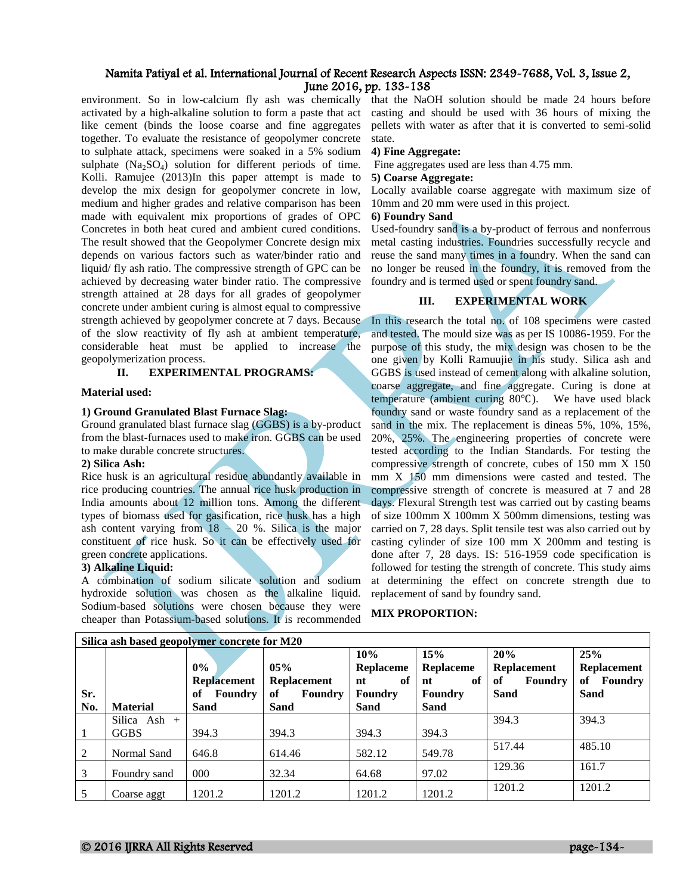environment. So in low-calcium fly ash was chemically that the NaOH solution should be made 24 hours before activated by a high-alkaline solution to form a paste that act like cement (binds the loose coarse and fine aggregates together. To evaluate the resistance of geopolymer concrete to sulphate attack, specimens were soaked in a 5% sodium sulphate (Na<sub>2</sub>SO<sub>4</sub>) solution for different periods of time. Kolli. Ramujee (2013)In this paper attempt is made to develop the mix design for geopolymer concrete in low, medium and higher grades and relative comparison has been made with equivalent mix proportions of grades of OPC Concretes in both heat cured and ambient cured conditions. The result showed that the Geopolymer Concrete design mix depends on various factors such as water/binder ratio and liquid/ fly ash ratio. The compressive strength of GPC can be achieved by decreasing water binder ratio. The compressive strength attained at 28 days for all grades of geopolymer concrete under ambient curing is almost equal to compressive strength achieved by geopolymer concrete at 7 days. Because of the slow reactivity of fly ash at ambient temperature, considerable heat must be applied to increase the geopolymerization process.

## **II. EXPERIMENTAL PROGRAMS:**

#### **Material used:**

#### **1) Ground Granulated Blast Furnace Slag:**

Ground granulated blast furnace slag (GGBS) is a by-product from the blast-furnaces used to make iron. GGBS can be used to make durable concrete structures.

#### **2) Silica Ash:**

Rice husk is an agricultural residue abundantly available in rice producing countries. The annual rice husk production in India amounts about 12 million tons. Among the different types of biomass used for gasification, rice husk has a high ash content varying from  $18 - 20$  %. Silica is the major constituent of rice husk. So it can be effectively used for green concrete applications.

## **3) Alkaline Liquid:**

A combination of sodium silicate solution and sodium hydroxide solution was chosen as the alkaline liquid. Sodium-based solutions were chosen because they were cheaper than Potassium-based solutions. It is recommended casting and should be used with 36 hours of mixing the pellets with water as after that it is converted to semi-solid state.

#### **4) Fine Aggregate:**

Fine aggregates used are less than 4.75 mm.

#### **5) Coarse Aggregate:**

Locally available coarse aggregate with maximum size of 10mm and 20 mm were used in this project.

## **6) Foundry Sand**

Used-foundry sand is a by-product of ferrous and nonferrous metal casting industries. Foundries successfully recycle and reuse the sand many times in a foundry. When the sand can no longer be reused in the foundry, it is removed from the foundry and is termed used or spent foundry sand.

# **III. EXPERIMENTAL WORK**

In this research the total no. of 108 specimens were casted and tested. The mould size was as per IS 10086-1959. For the purpose of this study, the mix design was chosen to be the one given by Kolli Ramuujie in his study. Silica ash and GGBS is used instead of cement along with alkaline solution, coarse aggregate, and fine aggregate. Curing is done at temperature (ambient curing 80℃). We have used black foundry sand or waste foundry sand as a replacement of the sand in the mix. The replacement is dineas 5%, 10%, 15%, 20%, 25%. The engineering properties of concrete were tested according to the Indian Standards. For testing the compressive strength of concrete, cubes of 150 mm X 150 mm X 150 mm dimensions were casted and tested. The compressive strength of concrete is measured at 7 and 28 days. Flexural Strength test was carried out by casting beams of size 100mm X 100mm X 500mm dimensions, testing was carried on 7, 28 days. Split tensile test was also carried out by casting cylinder of size 100 mm X 200mm and testing is done after 7, 28 days. IS: 516-1959 code specification is followed for testing the strength of concrete. This study aims at determining the effect on concrete strength due to replacement of sand by foundry sand.

## **MIX PROPORTION:**

| Silica ash based geopolymer concrete for M20 |                 |                             |                           |                              |                                     |                                            |                                            |  |  |
|----------------------------------------------|-----------------|-----------------------------|---------------------------|------------------------------|-------------------------------------|--------------------------------------------|--------------------------------------------|--|--|
|                                              |                 | $0\%$<br><b>Replacement</b> | 05%<br><b>Replacement</b> | 10%<br>Replaceme<br>оf<br>nt | 15%<br><b>Replaceme</b><br>of<br>nt | 20%<br><b>Replacement</b><br>Foundry<br>of | 25%<br><b>Replacement</b><br>Foundry<br>of |  |  |
| Sr.                                          |                 | Foundry<br>оf               | <b>Foundry</b><br>of      | <b>Foundry</b>               | <b>Foundry</b>                      | Sand                                       | <b>Sand</b>                                |  |  |
| No.                                          | <b>Material</b> | Sand                        | Sand                      | Sand                         | Sand                                |                                            |                                            |  |  |
|                                              | Silica Ash $+$  |                             |                           |                              |                                     | 394.3                                      | 394.3                                      |  |  |
|                                              | <b>GGBS</b>     | 394.3                       | 394.3                     | 394.3                        | 394.3                               |                                            |                                            |  |  |
| 2                                            | Normal Sand     | 646.8                       | 614.46                    | 582.12                       | 549.78                              | 517.44                                     | 485.10                                     |  |  |
| 3                                            | Foundry sand    | 000                         | 32.34                     | 64.68                        | 97.02                               | 129.36                                     | 161.7                                      |  |  |
|                                              | Coarse aggt     | 1201.2                      | 1201.2                    | 1201.2                       | 1201.2                              | 1201.2                                     | 1201.2                                     |  |  |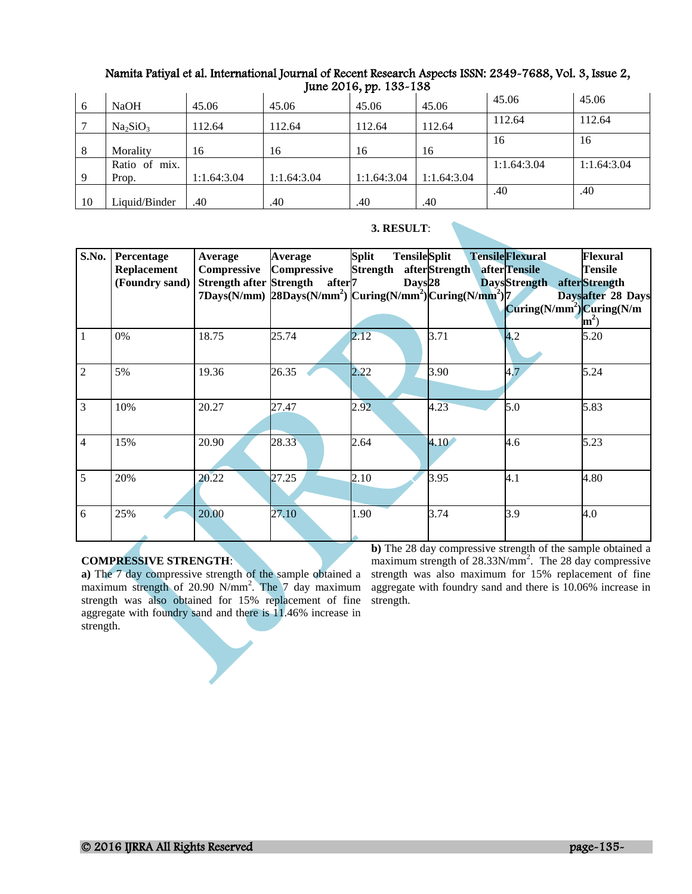| 6  | <b>NaOH</b>                      | 45.06       | 45.06       | $J^{\mu\nu} = -1$ , $J^{\mu}$ , $J^{\mu}$ , $J^{\mu}$<br>45.06 | 45.06       | 45.06       | 45.06       |
|----|----------------------------------|-------------|-------------|----------------------------------------------------------------|-------------|-------------|-------------|
|    | Na <sub>2</sub> SiO <sub>3</sub> | 112.64      | 112.64      | 112.64                                                         | 112.64      | 112.64      | 112.64      |
| 8  | Morality                         | 16          | 16          | 16                                                             | 16          | 16          | 16          |
|    | Ratio of mix.                    |             |             |                                                                |             | 1:1.64:3.04 | 1:1.64:3.04 |
| -9 | Prop.                            | 1:1.64:3.04 | 1:1.64:3.04 | 1:1.64:3.04                                                    | 1:1.64:3.04 |             |             |
|    |                                  |             |             |                                                                |             | .40         | .40         |
| 10 | Liquid/Binder                    | .40         | .40         | .40                                                            | .40         |             |             |

| 3. RESULT: |
|------------|
|            |

| S.No.          | Percentage<br><b>Replacement</b><br>(Foundry sand) | Average<br>Compressive | <b>Average</b><br><b>Compressive</b><br>Strength after Strength after <sup>7</sup><br>7Days(N/mm) $28$ Days(N/mm <sup>2</sup> ) $\text{Curing}(N/\text{mm}^2)$ $\text{Curing}(N/\text{mm}^2)$ | <b>Tensile</b> Split<br><b>Split</b><br>Strength<br>Days <sub>28</sub> | afterStrength | <b>TensileFlexural</b><br>afterTensile<br>DaysStrength afterStrength<br>$Curing(N/mm2)$ <i>Curing</i> ( <i>N</i> / <i>m</i> | Flexural<br>Tensile<br>Daysafter 28 Days<br>$m^2$ |
|----------------|----------------------------------------------------|------------------------|-----------------------------------------------------------------------------------------------------------------------------------------------------------------------------------------------|------------------------------------------------------------------------|---------------|-----------------------------------------------------------------------------------------------------------------------------|---------------------------------------------------|
| $\mathbf{1}$   | 0%                                                 | 18.75                  | 25.74                                                                                                                                                                                         | 2.12                                                                   | 3.71          | 4.2                                                                                                                         | 5.20                                              |
| $\overline{2}$ | 5%                                                 | 19.36                  | 26.35                                                                                                                                                                                         | 2.22                                                                   | 3.90          | 4.7                                                                                                                         | 5.24                                              |
| $\overline{3}$ | 10%                                                | 20.27                  | 27.47                                                                                                                                                                                         | 2.92.                                                                  | 4.23          | 5.0                                                                                                                         | 5.83                                              |
| $\overline{4}$ | 15%                                                | 20.90                  | 28.33                                                                                                                                                                                         | 2.64                                                                   | 4.10          | 4.6                                                                                                                         | 5.23                                              |
| 5              | 20%                                                | 20.22                  | 27.25                                                                                                                                                                                         | 2.10                                                                   | 3.95          | 4.1                                                                                                                         | 4.80                                              |
| 6              | 25%                                                | 20.00                  | 27.10                                                                                                                                                                                         | 1.90                                                                   | 3.74          | 3.9                                                                                                                         | 4.0                                               |

# **COMPRESSIVE STRENGTH**:

**a)** The 7 day compressive strength of the sample obtained a maximum strength of 20.90 N/mm<sup>2</sup>. The 7 day maximum strength was also obtained for 15% replacement of fine aggregate with foundry sand and there is 11.46% increase in strength.

**b)** The 28 day compressive strength of the sample obtained a maximum strength of 28.33N/mm<sup>2</sup>. The 28 day compressive strength was also maximum for 15% replacement of fine aggregate with foundry sand and there is 10.06% increase in strength.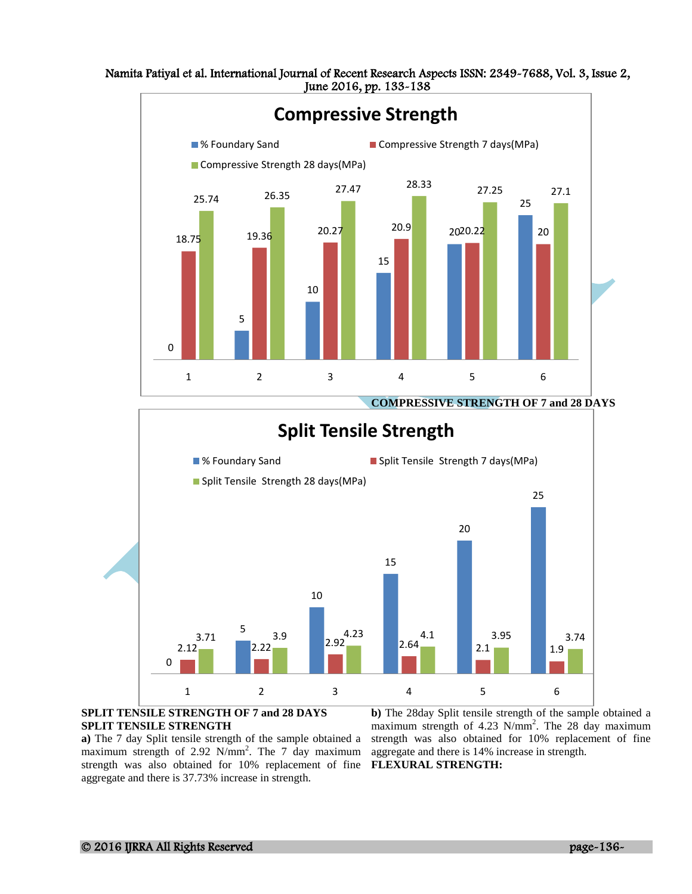Namita Patiyal et al. International Journal of Recent Research Aspects ISSN: 2349-7688, Vol. 3, Issue 2, June 2016, pp. 133-138





## **SPLIT TENSILE STRENGTH OF 7 and 28 DAYS SPLIT TENSILE STRENGTH**

**a)** The 7 day Split tensile strength of the sample obtained a maximum strength of 2.92 N/mm<sup>2</sup>. The 7 day maximum aggregate and there is 14% increase in strength. strength was also obtained for 10% replacement of fine **FLEXURAL STRENGTH:**  aggregate and there is 37.73% increase in strength.

**b)** The 28day Split tensile strength of the sample obtained a maximum strength of 4.23 N/mm<sup>2</sup>. The 28 day maximum strength was also obtained for 10% replacement of fine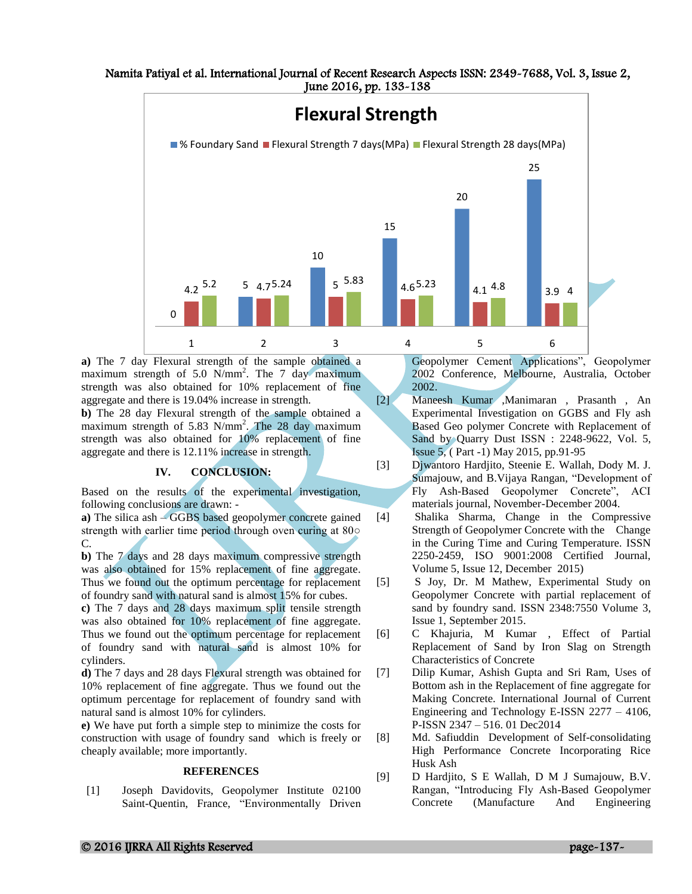

**a)** The 7 day Flexural strength of the sample obtained a maximum strength of 5.0  $N/mm^2$ . The 7 day maximum strength was also obtained for 10% replacement of fine aggregate and there is 19.04% increase in strength. **b)** The 28 day Flexural strength of the sample obtained a maximum strength of 5.83 N/mm<sup>2</sup>. The 28 day maximum strength was also obtained for 10% replacement of fine aggregate and there is 12.11% increase in strength.

### **IV. CONCLUSION:**

Based on the results of the experimental investigation, following conclusions are drawn: -

**a)** The silica ash – GGBS based geopolymer concrete gained strength with earlier time period through oven curing at 80 $\circ$ C.

**b)** The 7 days and 28 days maximum compressive strength was also obtained for 15% replacement of fine aggregate. Thus we found out the optimum percentage for replacement of foundry sand with natural sand is almost 15% for cubes. **c)** The 7 days and 28 days maximum split tensile strength was also obtained for 10% replacement of fine aggregate.

Thus we found out the optimum percentage for replacement of foundry sand with natural sand is almost 10% for cylinders.

**d)** The 7 days and 28 days Flexural strength was obtained for 10% replacement of fine aggregate. Thus we found out the optimum percentage for replacement of foundry sand with natural sand is almost 10% for cylinders.

**e)** We have put forth a simple step to minimize the costs for construction with usage of foundry sand which is freely or cheaply available; more importantly.

#### **REFERENCES**

[1] Joseph Davidovits, Geopolymer Institute 02100 Saint-Quentin, France, "Environmentally Driven

Geopolymer Cement Applications", Geopolymer 2002 Conference, Melbourne, Australia, October 2002.

- [2] Maneesh Kumar ,Manimaran , Prasanth , An Experimental Investigation on GGBS and Fly ash Based Geo polymer Concrete with Replacement of Sand by Quarry Dust ISSN : 2248-9622, Vol. 5, Issue 5, ( Part -1) May 2015, pp.91-95
- [3] Djwantoro Hardjito, Steenie E. Wallah, Dody M. J. Sumajouw, and B.Vijaya Rangan, "Development of Fly Ash-Based Geopolymer Concrete", ACI materials journal, November-December 2004.
- [4] Shalika Sharma, Change in the Compressive Strength of Geopolymer Concrete with the Change in the Curing Time and Curing Temperature. ISSN 2250-2459, ISO 9001:2008 Certified Journal, Volume 5, Issue 12, December 2015)
- [5] S Joy, Dr. M Mathew, Experimental Study on Geopolymer Concrete with partial replacement of sand by foundry sand. ISSN 2348:7550 Volume 3, Issue 1, September 2015.
- [6] C Khajuria, M Kumar , Effect of Partial Replacement of Sand by Iron Slag on Strength Characteristics of Concrete
- [7] Dilip Kumar, Ashish Gupta and Sri Ram, Uses of Bottom ash in the Replacement of fine aggregate for Making Concrete. International Journal of Current Engineering and Technology E-ISSN 2277 – 4106, P-ISSN 2347 – 516. 01 Dec2014
- [8] Md. Safiuddin Development of Self-consolidating High Performance Concrete Incorporating Rice Husk Ash
- [9] D Hardjito, S E Wallah, D M J Sumajouw, B.V. Rangan, "Introducing Fly Ash-Based Geopolymer Concrete (Manufacture And Engineering